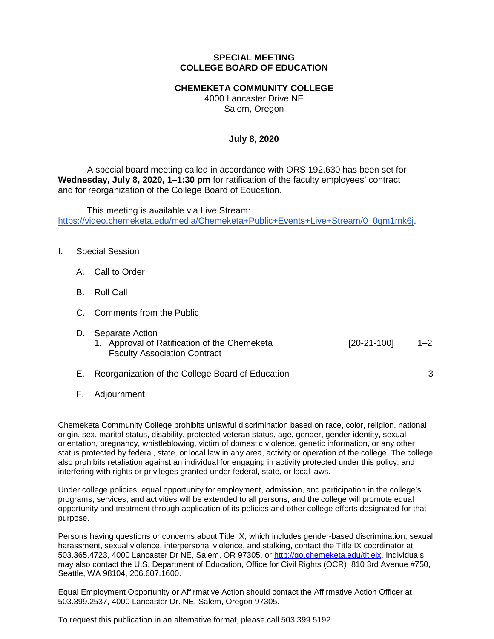## **SPECIAL MEETING COLLEGE BOARD OF EDUCATION**

## **CHEMEKETA COMMUNITY COLLEGE**

4000 Lancaster Drive NE Salem, Oregon

## **July 8, 2020**

A special board meeting called in accordance with ORS 192.630 has been set for **Wednesday, July 8, 2020, 1–1:30 pm** for ratification of the faculty employees' contract and for reorganization of the College Board of Education.

This meeting is available via Live Stream: [https://video.chemeketa.edu/media/Chemeketa+Public+Events+Live+Stream/0\\_0qm1mk6j.](https://video.chemeketa.edu/media/Chemeketa+Public+Events+Live+Stream/0_0qm1mk6j)

### I. Special Session

- A. Call to Order
- B. Roll Call
- C. Comments from the Public
- D. Separate Action

| 1. Approval of Ratification of the Chemeketa |  | $[20-21-100]$ | $1 - 2$ |
|----------------------------------------------|--|---------------|---------|
| <b>Faculty Association Contract</b>          |  |               |         |

E. Reorganization of the College Board of Education 3

F. Adjournment

Chemeketa Community College prohibits unlawful discrimination based on race, color, religion, national origin, sex, marital status, disability, protected veteran status, age, gender, gender identity, sexual orientation, pregnancy, whistleblowing, victim of domestic violence, genetic information, or any other status protected by federal, state, or local law in any area, activity or operation of the college. The college also prohibits retaliation against an individual for engaging in activity protected under this policy, and interfering with rights or privileges granted under federal, state, or local laws.

Under college policies, equal opportunity for employment, admission, and participation in the college's programs, services, and activities will be extended to all persons, and the college will promote equal opportunity and treatment through application of its policies and other college efforts designated for that purpose.

Persons having questions or concerns about Title IX, which includes gender-based discrimination, sexual harassment, sexual violence, interpersonal violence, and stalking, contact the Title IX coordinator at 503.365.4723, 4000 Lancaster Dr NE, Salem, OR 97305, or [http://go.chemeketa.edu/titleix.](http://go.chemeketa.edu/titleix) Individuals may also contact the U.S. Department of Education, Office for Civil Rights (OCR), 810 3rd Avenue #750, Seattle, WA 98104, 206.607.1600.

Equal Employment Opportunity or Affirmative Action should contact the Affirmative Action Officer at 503.399.2537, 4000 Lancaster Dr. NE, Salem, Oregon 97305.

To request this publication in an alternative format, please call 503.399.5192.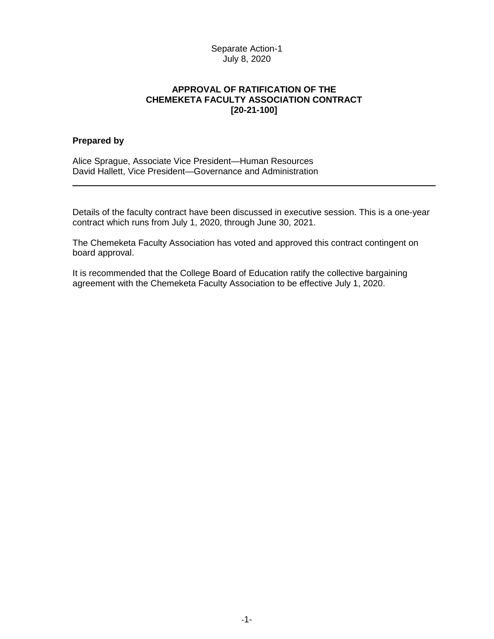# Separate Action-1 July 8, 2020

# **APPROVAL OF RATIFICATION OF THE CHEMEKETA FACULTY ASSOCIATION CONTRACT [20-21-100]**

#### **Prepared by**

Alice Sprague, Associate Vice President—Human Resources David Hallett, Vice President—Governance and Administration

Details of the faculty contract have been discussed in executive session. This is a one-year contract which runs from July 1, 2020, through June 30, 2021.

The Chemeketa Faculty Association has voted and approved this contract contingent on board approval.

It is recommended that the College Board of Education ratify the collective bargaining agreement with the Chemeketa Faculty Association to be effective July 1, 2020.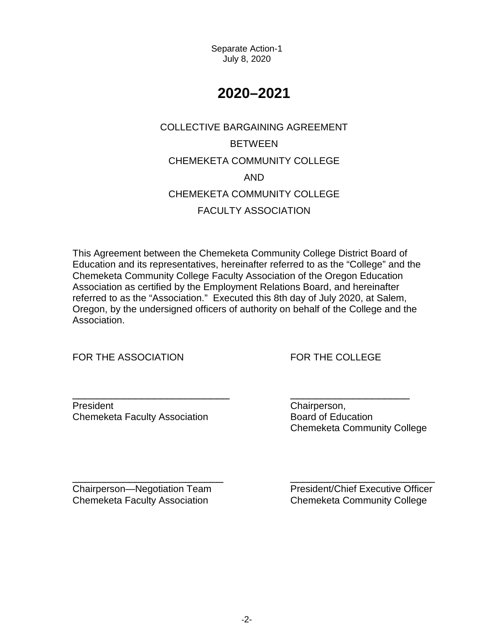Separate Action-1 July 8, 2020

# **2020–2021**

# COLLECTIVE BARGAINING AGREEMENT BETWEEN CHEMEKETA COMMUNITY COLLEGE AND CHEMEKETA COMMUNITY COLLEGE FACULTY ASSOCIATION

This Agreement between the Chemeketa Community College District Board of Education and its representatives, hereinafter referred to as the "College" and the Chemeketa Community College Faculty Association of the Oregon Education Association as certified by the Employment Relations Board, and hereinafter referred to as the "Association." Executed this 8th day of July 2020, at Salem, Oregon, by the undersigned officers of authority on behalf of the College and the Association.

FOR THE ASSOCIATION FOR THE COLLEGE

President **Chairperson**, Chemeketa Faculty Association **Board of Education** 

\_\_\_\_\_\_\_\_\_\_\_\_\_\_\_\_\_\_\_\_\_\_\_\_\_ \_\_\_\_\_\_\_\_\_\_\_\_\_\_\_\_\_\_\_ Chemeketa Community College

Chemeketa Faculty Association Chemeketa Community College

\_\_\_\_\_\_\_\_\_\_\_\_\_\_\_\_\_\_\_\_\_\_\_\_ \_\_\_\_\_\_\_\_\_\_\_\_\_\_\_\_\_\_\_\_\_\_\_ Chairperson—Negotiation Team President/Chief Executive Officer